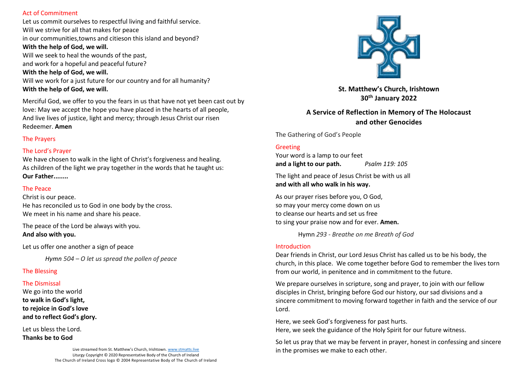### Act of Commitment

Let us commit ourselves to respectful living and faithful service. Will we strive for all that makes for peace in our communities,towns and citieson this island and beyond? **With the help of God, we will.** Will we seek to heal the wounds of the past, and work for a hopeful and peaceful future? **With the help of God, we will.** Will we work for a just future for our country and for all humanity? **With the help of God, we will.**

Merciful God, we offer to you the fears in us that have not yet been cast out by love: May we accept the hope you have placed in the hearts of all people, And live lives of justice, light and mercy; through Jesus Christ our risen Redeemer. **Amen**

## The Prayers

# The Lord's Prayer

We have chosen to walk in the light of Christ's forgiveness and healing. As children of the light we pray together in the words that he taught us: **Our Father........** 

## The Peace

Christ is our peace. He has reconciled us to God in one body by the cross. We meet in his name and share his peace.

The peace of the Lord be always with you. **And also with you.**

Let us offer one another a sign of peace

*Hymn 504 – O let us spread the pollen of peace*

# The Blessing

# The Dismissal

We go into the world **to walk in God's light, to rejoice in God's love and to reflect God's glory.**

Let us bless the Lord.

**Thanks be to God**

Live streamed from St. Matthew's Church, Irishtown. [www.stmatts.live](http://www.stmatts.live/) Liturgy Copyright © 2020 Representative Body of the Church of Ireland The Church of Ireland Cross logo © 2004 Representative Body of The Church of Ireland



**St. Matthew's Church, Irishtown 30th January 2022**

**A Service of Reflection in Memory of The Holocaust and other Genocides**

The Gathering of God's People

# Greeting

Your word is a lamp to our feet **and a light to our path.** *Psalm 119: 105*

The light and peace of Jesus Christ be with us all **and with all who walk in his way.**

As our prayer rises before you, O God, so may your mercy come down on us to cleanse our hearts and set us free to sing your praise now and for ever. **Amen.**

Hymn *293 - Breathe on me Breath of God*

# Introduction

Dear friends in Christ, our Lord Jesus Christ has called us to be his body, the church, in this place. We come together before God to remember the lives torn from our world, in penitence and in commitment to the future.

We prepare ourselves in scripture, song and prayer, to join with our fellow disciples in Christ, bringing before God our history, our sad divisions and a sincere commitment to moving forward together in faith and the service of our Lord.

Here, we seek God's forgiveness for past hurts. Here, we seek the guidance of the Holy Spirit for our future witness.

So let us pray that we may be fervent in prayer, honest in confessing and sincere in the promises we make to each other.